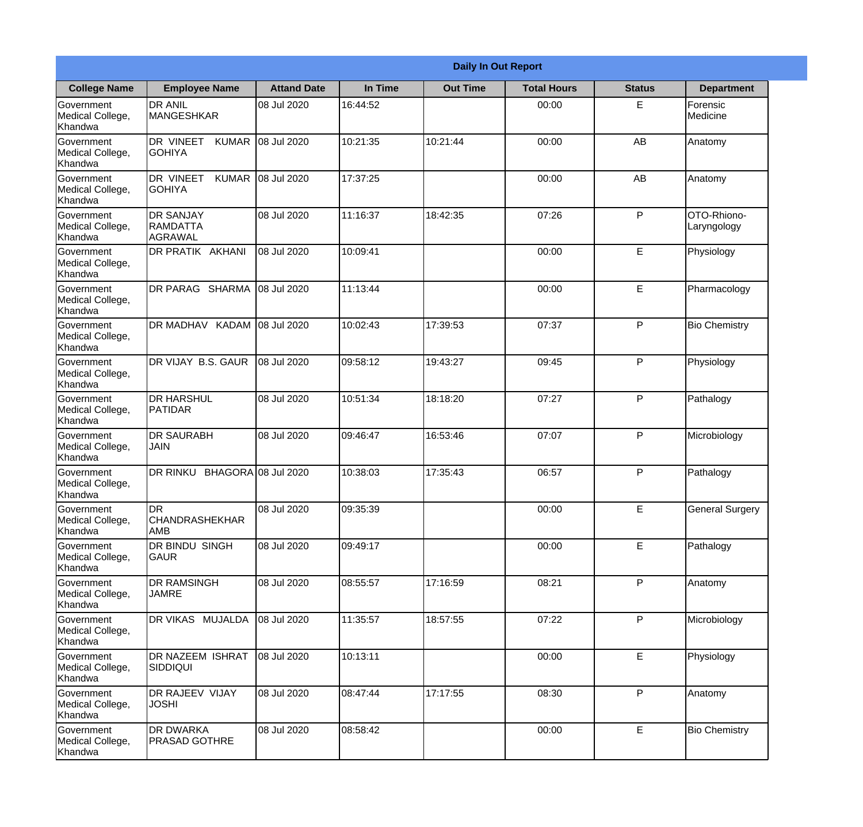|                                                  |                                                   |                     |          | <b>Daily In Out Report</b> |                    |               |                            |
|--------------------------------------------------|---------------------------------------------------|---------------------|----------|----------------------------|--------------------|---------------|----------------------------|
| <b>College Name</b>                              | <b>Employee Name</b>                              | <b>Attand Date</b>  | In Time  | <b>Out Time</b>            | <b>Total Hours</b> | <b>Status</b> | <b>Department</b>          |
| Government<br>Medical College,<br>Khandwa        | <b>DR ANIL</b><br><b>MANGESHKAR</b>               | 08 Jul 2020         | 16:44:52 |                            | 00:00              | E.            | Forensic<br>Medicine       |
| Government<br>Medical College,<br>Khandwa        | DR VINEET<br><b>KUMAR</b><br><b>GOHIYA</b>        | 08 Jul 2020         | 10:21:35 | 10:21:44                   | 00:00              | AB            | Anatomy                    |
| Government<br>Medical College,<br>Khandwa        | <b>DR VINEET</b><br><b>KUMAR</b><br><b>GOHIYA</b> | 08 Jul 2020         | 17:37:25 |                            | 00:00              | AB            | Anatomy                    |
| Government<br>Medical College,<br>Khandwa        | <b>DR SANJAY</b><br>RAMDATTA<br><b>AGRAWAL</b>    | 08 Jul 2020         | 11:16:37 | 18:42:35                   | 07:26              | P             | OTO-Rhiono-<br>Laryngology |
| <b>Government</b><br>Medical College,<br>Khandwa | DR PRATIK AKHANI                                  | 08 Jul 2020         | 10:09:41 |                            | 00:00              | E             | Physiology                 |
| Government<br>Medical College,<br>Khandwa        | DR PARAG SHARMA                                   | 08 Jul 2020         | 11:13:44 |                            | 00:00              | E             | Pharmacology               |
| <b>Government</b><br>Medical College,<br>Khandwa | DR MADHAV KADAM 08 Jul 2020                       |                     | 10:02:43 | 17:39:53                   | 07:37              | P             | <b>Bio Chemistry</b>       |
| Government<br>Medical College,<br>Khandwa        | DR VIJAY B.S. GAUR                                | 08 Jul 2020         | 09:58:12 | 19:43:27                   | 09:45              | P             | Physiology                 |
| Government<br>Medical College,<br>Khandwa        | <b>DR HARSHUL</b><br><b>PATIDAR</b>               | 08 Jul 2020         | 10:51:34 | 18:18:20                   | 07:27              | P             | Pathalogy                  |
| Government<br>Medical College,<br>Khandwa        | <b>DR SAURABH</b><br><b>JAIN</b>                  | 08 Jul 2020         | 09:46:47 | 16:53:46                   | 07:07              | P             | Microbiology               |
| Government<br>Medical College,<br>Khandwa        | DR RINKU                                          | BHAGORA 08 Jul 2020 | 10:38:03 | 17:35:43                   | 06:57              | P             | Pathalogy                  |
| Government<br>Medical College,<br>Khandwa        | <b>DR</b><br>CHANDRASHEKHAR<br>AMB                | 08 Jul 2020         | 09:35:39 |                            | 00:00              | E             | <b>General Surgery</b>     |
| Government<br>Medical College,<br>Khandwa        | DR BINDU SINGH<br>GAUR                            | 08 Jul 2020         | 09:49:17 |                            | 00:00              | E             | Pathalogy                  |
| Government<br>Medical College,<br>Khandwa        | <b>DR RAMSINGH</b><br><b>JAMRE</b>                | 08 Jul 2020         | 08:55:57 | 17:16:59                   | 08:21              | P             | Anatomy                    |
| Government<br>Medical College,<br>Khandwa        | DR VIKAS MUJALDA                                  | 08 Jul 2020         | 11:35:57 | 18:57:55                   | 07:22              | P             | Microbiology               |
| Government<br>Medical College,<br>Khandwa        | DR NAZEEM ISHRAT<br><b>SIDDIQUI</b>               | 08 Jul 2020         | 10:13:11 |                            | 00:00              | E             | Physiology                 |
| Government<br>Medical College,<br>Khandwa        | <b>DR RAJEEV VIJAY</b><br><b>JOSHI</b>            | 08 Jul 2020         | 08:47:44 | 17:17:55                   | 08:30              | P             | Anatomy                    |
| Government<br>Medical College,<br>Khandwa        | <b>DR DWARKA</b><br><b>PRASAD GOTHRE</b>          | 08 Jul 2020         | 08:58:42 |                            | 00:00              | E             | <b>Bio Chemistry</b>       |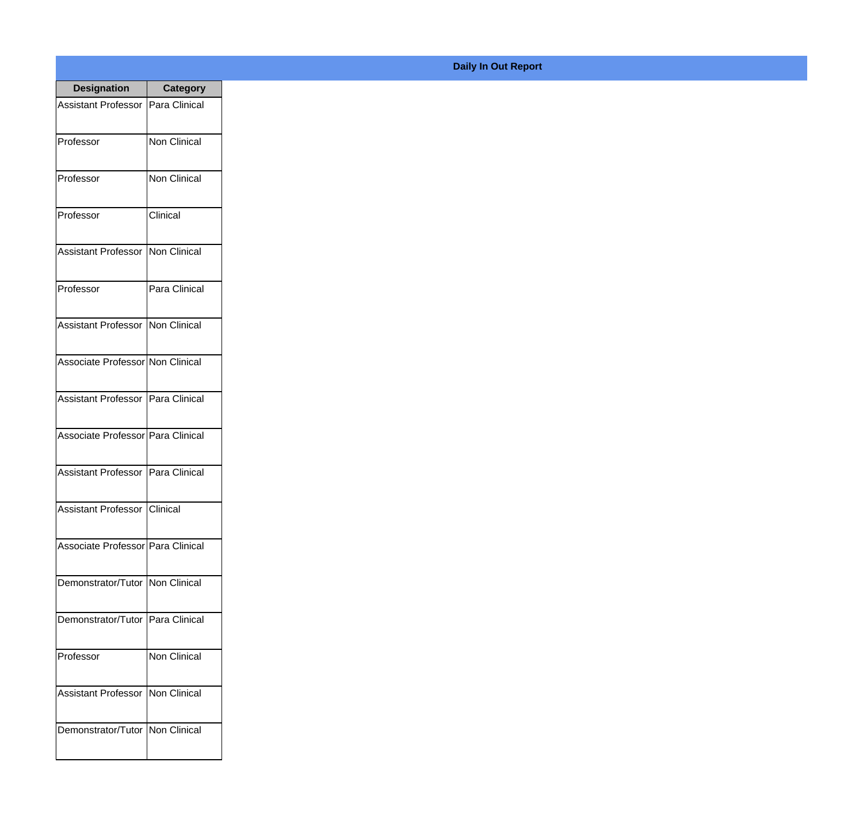| <b>Designation</b>                  | <b>Category</b> |
|-------------------------------------|-----------------|
| <b>Assistant Professor</b>          | Para Clinical   |
| Professor                           | Non Clinical    |
| Professor                           | Non Clinical    |
| Professor                           | Clinical        |
| <b>Assistant Professor</b>          | Non Clinical    |
| Professor                           | Para Clinical   |
| <b>Assistant Professor</b>          | Non Clinical    |
| Associate Professor Non Clinical    |                 |
| Assistant Professor   Para Clinical |                 |
| Associate Professor   Para Clinical |                 |
| <b>Assistant Professor</b>          | Para Clinical   |
| Assistant Professor Clinical        |                 |
| Associate Professor Para Clinical   |                 |
| Demonstrator/Tutor   Non Clinical   |                 |
| Demonstrator/Tutor   Para Clinical  |                 |
| Professor                           | Non Clinical    |
| <b>Assistant Professor</b>          | Non Clinical    |
| Demonstrator/Tutor   Non Clinical   |                 |

## **Daily In Out Report**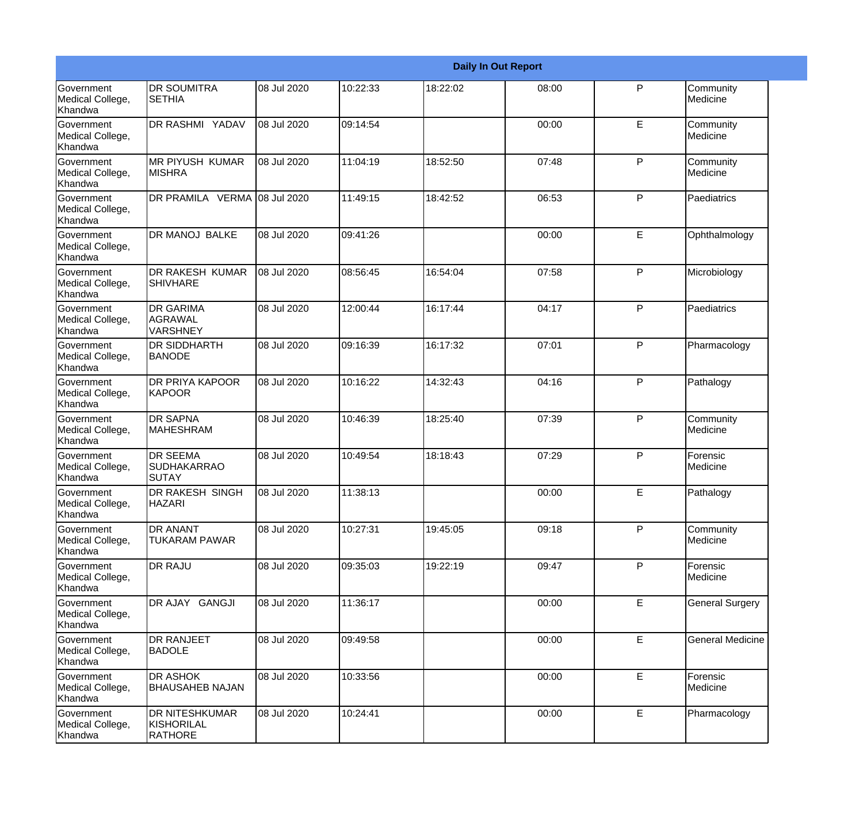|                                           |                                                       |             |          |          | <b>Daily In Out Report</b> |              |                         |
|-------------------------------------------|-------------------------------------------------------|-------------|----------|----------|----------------------------|--------------|-------------------------|
| Government<br>Medical College,<br>Khandwa | <b>DR SOUMITRA</b><br><b>SETHIA</b>                   | 08 Jul 2020 | 10:22:33 | 18:22:02 | 08:00                      | P            | Community<br>Medicine   |
| Government<br>Medical College,<br>Khandwa | <b>DR RASHMI YADAV</b>                                | 08 Jul 2020 | 09:14:54 |          | 00:00                      | E            | Community<br>Medicine   |
| Government<br>Medical College,<br>Khandwa | <b>MR PIYUSH KUMAR</b><br>IMISHRA                     | 08 Jul 2020 | 11:04:19 | 18:52:50 | 07:48                      | P            | Community<br>Medicine   |
| Government<br>Medical College,<br>Khandwa | DR PRAMILA VERMA 08 Jul 2020                          |             | 11:49:15 | 18:42:52 | 06:53                      | P            | Paediatrics             |
| Government<br>Medical College,<br>Khandwa | <b>DR MANOJ BALKE</b>                                 | 08 Jul 2020 | 09:41:26 |          | 00:00                      | E            | Ophthalmology           |
| Government<br>Medical College,<br>Khandwa | <b>DR RAKESH KUMAR</b><br><b>SHIVHARE</b>             | 08 Jul 2020 | 08:56:45 | 16:54:04 | 07:58                      | $\mathsf{P}$ | Microbiology            |
| Government<br>Medical College,<br>Khandwa | <b>DR GARIMA</b><br><b>AGRAWAL</b><br><b>VARSHNEY</b> | 08 Jul 2020 | 12:00:44 | 16:17:44 | 04:17                      | $\mathsf{P}$ | Paediatrics             |
| Government<br>Medical College,<br>Khandwa | <b>DR SIDDHARTH</b><br><b>BANODE</b>                  | 08 Jul 2020 | 09:16:39 | 16:17:32 | 07:01                      | ${\sf P}$    | Pharmacology            |
| Government<br>Medical College,<br>Khandwa | <b>DR PRIYA KAPOOR</b><br><b>KAPOOR</b>               | 08 Jul 2020 | 10:16:22 | 14:32:43 | 04:16                      | P            | Pathalogy               |
| Government<br>Medical College,<br>Khandwa | <b>DR SAPNA</b><br><b>MAHESHRAM</b>                   | 08 Jul 2020 | 10:46:39 | 18:25:40 | 07:39                      | $\mathsf{P}$ | Community<br>Medicine   |
| Government<br>Medical College,<br>Khandwa | <b>DR SEEMA</b><br><b>SUDHAKARRAO</b><br><b>SUTAY</b> | 08 Jul 2020 | 10:49:54 | 18:18:43 | 07:29                      | P            | Forensic<br>Medicine    |
| Government<br>Medical College,<br>Khandwa | <b>DR RAKESH SINGH</b><br><b>HAZARI</b>               | 08 Jul 2020 | 11:38:13 |          | 00:00                      | E            | Pathalogy               |
| Government<br>Medical College,<br>Khandwa | <b>DR ANANT</b><br><b>TUKARAM PAWAR</b>               | 08 Jul 2020 | 10:27:31 | 19:45:05 | 09:18                      | P            | Community<br>Medicine   |
| Government<br>Medical College,<br>Khandwa | <b>DR RAJU</b>                                        | 08 Jul 2020 | 09:35:03 | 19:22:19 | 09:47                      | P            | Forensic<br>Medicine    |
| Government<br>Medical College,<br>Khandwa | DR AJAY GANGJI                                        | 08 Jul 2020 | 11:36:17 |          | 00:00                      | E            | <b>General Surgery</b>  |
| Government<br>Medical College,<br>Khandwa | <b>DR RANJEET</b><br><b>BADOLE</b>                    | 08 Jul 2020 | 09:49:58 |          | 00:00                      | E            | <b>General Medicine</b> |
| Government<br>Medical College,<br>Khandwa | <b>DR ASHOK</b><br><b>BHAUSAHEB NAJAN</b>             | 08 Jul 2020 | 10:33:56 |          | 00:00                      | E            | Forensic<br>Medicine    |
| Government<br>Medical College,<br>Khandwa | <b>DR NITESHKUMAR</b><br>KISHORILAL<br>RATHORE        | 08 Jul 2020 | 10:24:41 |          | 00:00                      | E            | Pharmacology            |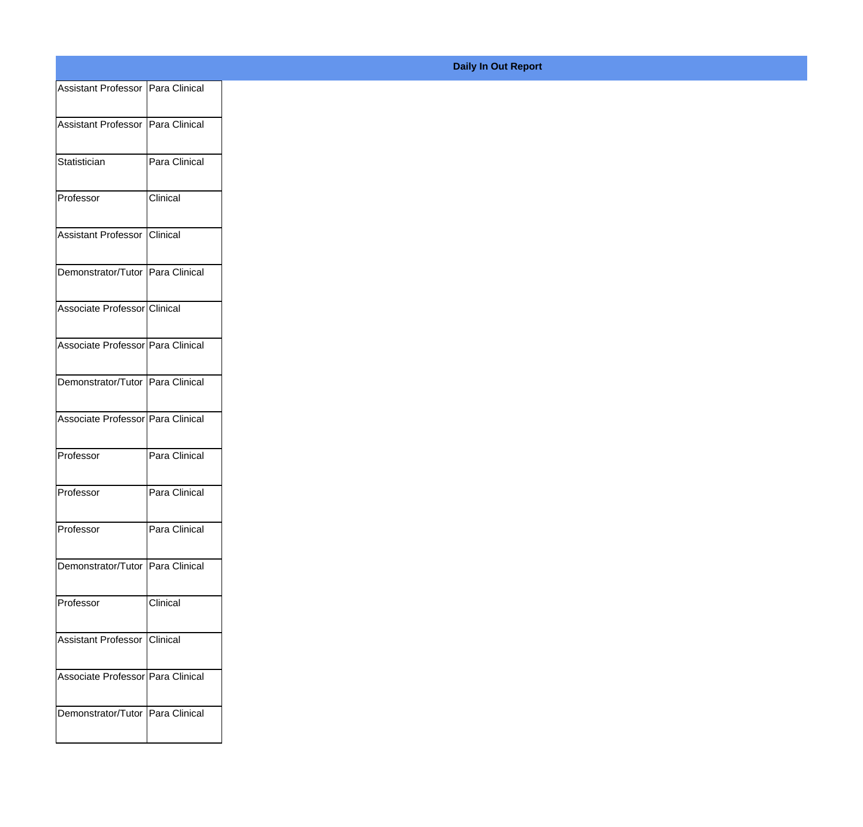| Assistant Professor   Para Clinical |               |
|-------------------------------------|---------------|
| Assistant Professor Para Clinical   |               |
|                                     |               |
| Statistician                        | Para Clinical |
| Professor                           | Clinical      |
| Assistant Professor Clinical        |               |
|                                     |               |
| Demonstrator/Tutor Para Clinical    |               |
| Associate Professor Clinical        |               |
| Associate Professor Para Clinical   |               |
|                                     |               |
| Demonstrator/Tutor Para Clinical    |               |
| Associate Professor Para Clinical   |               |
| Professor                           | Para Clinical |
|                                     |               |
| Professor                           | Para Clinical |
| Professor                           | Para Clinical |
| Demonstrator/Tutor Para Clinical    |               |
| Professor                           | Clinical      |
|                                     |               |
| Assistant Professor Clinical        |               |
| Associate Professor Para Clinical   |               |
| Demonstrator/Tutor   Para Clinical  |               |
|                                     |               |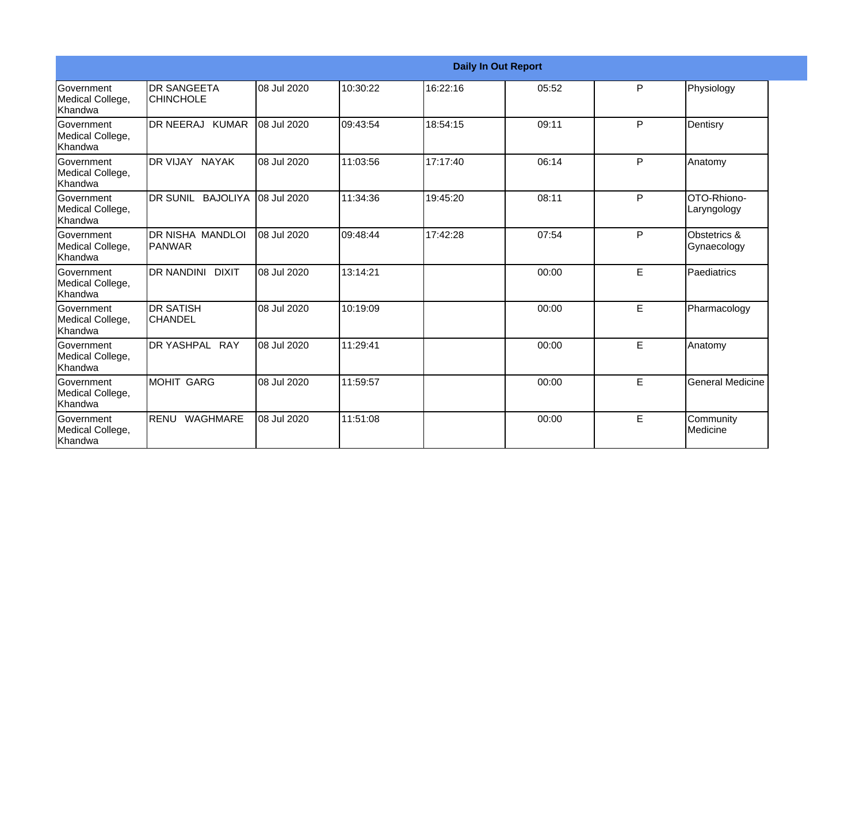|                                                  |                                        |             |          |          | <b>Daily In Out Report</b> |   |                             |
|--------------------------------------------------|----------------------------------------|-------------|----------|----------|----------------------------|---|-----------------------------|
| Government<br>Medical College,<br><b>Khandwa</b> | <b>DR SANGEETA</b><br><b>CHINCHOLE</b> | 08 Jul 2020 | 10:30:22 | 16:22:16 | 05:52                      | P | Physiology                  |
| <b>Government</b><br>Medical College,<br>Khandwa | DR NEERAJ KUMAR                        | 08 Jul 2020 | 09:43:54 | 18:54:15 | 09:11                      | P | Dentisry                    |
| <b>Government</b><br>Medical College,<br>Khandwa | <b>IDR VIJAY NAYAK</b>                 | 08 Jul 2020 | 11:03:56 | 17:17:40 | 06:14                      | P | Anatomy                     |
| Government<br>Medical College,<br>Khandwa        | DR SUNIL BAJOLIYA                      | 08 Jul 2020 | 11:34:36 | 19:45:20 | 08:11                      | P | OTO-Rhiono-<br>Laryngology  |
| <b>Government</b><br>Medical College,<br>Khandwa | IDR NISHA MANDLOI<br>IPANWAR           | 08 Jul 2020 | 09:48:44 | 17:42:28 | 07:54                      | P | Obstetrics &<br>Gynaecology |
| Government<br>Medical College,<br>Khandwa        | DR NANDINI DIXIT                       | 08 Jul 2020 | 13:14:21 |          | 00:00                      | E | Paediatrics                 |
| <b>Government</b><br>Medical College,<br>Khandwa | IDR SATISH<br><b>CHANDEL</b>           | 08 Jul 2020 | 10:19:09 |          | 00:00                      | E | Pharmacology                |
| <b>Government</b><br>Medical College,<br>Khandwa | DR YASHPAL RAY                         | 08 Jul 2020 | 11:29:41 |          | 00:00                      | E | Anatomy                     |
| Government<br>Medical College,<br>Khandwa        | MOHIT GARG                             | 08 Jul 2020 | 11:59:57 |          | 00:00                      | E | <b>General Medicine</b>     |
| <b>Government</b><br>Medical College,<br>Khandwa | RENU WAGHMARE                          | 08 Jul 2020 | 11:51:08 |          | 00:00                      | E | Community<br>Medicine       |